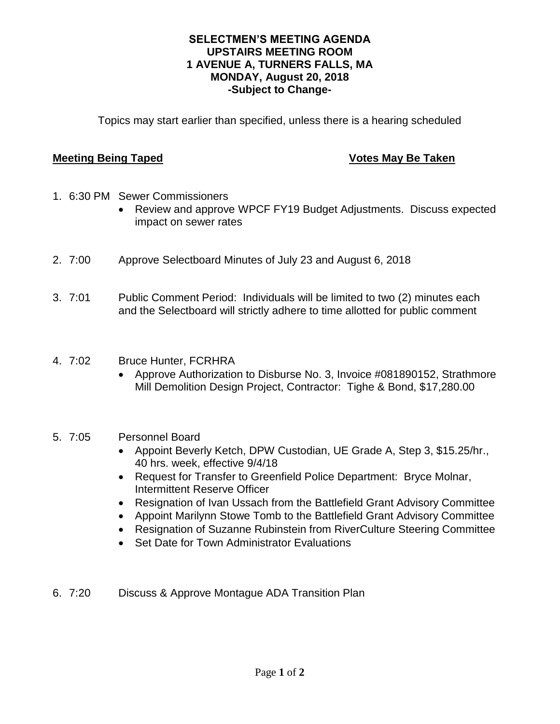## **SELECTMEN'S MEETING AGENDA UPSTAIRS MEETING ROOM 1 AVENUE A, TURNERS FALLS, MA MONDAY, August 20, 2018 -Subject to Change-**

Topics may start earlier than specified, unless there is a hearing scheduled

## **Meeting Being Taped Votes May Be Taken**

- 1. 6:30 PM Sewer Commissioners
	- Review and approve WPCF FY19 Budget Adjustments. Discuss expected impact on sewer rates
- 2. 7:00 Approve Selectboard Minutes of July 23 and August 6, 2018
- 3. 7:01 Public Comment Period: Individuals will be limited to two (2) minutes each and the Selectboard will strictly adhere to time allotted for public comment
- 4. 7:02 Bruce Hunter, FCRHRA
	- Approve Authorization to Disburse No. 3, Invoice #081890152, Strathmore Mill Demolition Design Project, Contractor: Tighe & Bond, \$17,280.00

# 5. 7:05 Personnel Board

- Appoint Beverly Ketch, DPW Custodian, UE Grade A, Step 3, \$15.25/hr., 40 hrs. week, effective 9/4/18
- Request for Transfer to Greenfield Police Department: Bryce Molnar, Intermittent Reserve Officer
- Resignation of Ivan Ussach from the Battlefield Grant Advisory Committee
- Appoint Marilynn Stowe Tomb to the Battlefield Grant Advisory Committee
- Resignation of Suzanne Rubinstein from RiverCulture Steering Committee
- Set Date for Town Administrator Evaluations
- 6. 7:20 Discuss & Approve Montague ADA Transition Plan